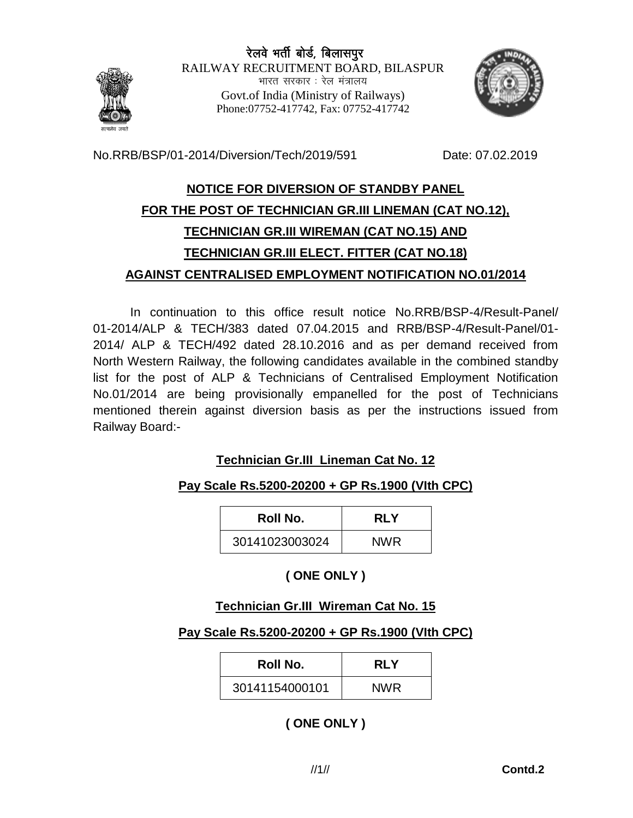

रेलवे भर्ती बोर्ड, बिलासपुर RAILWAY RECRUITMENT BOARD, BILASPUR भारत सरकार : रेल मंत्रालय Govt.of India (Ministry of Railways) Phone:07752-417742, Fax: 07752-417742



No.RRB/BSP/01-2014/Diversion/Tech/2019/591 Date: 07.02.2019

# **NOTICE FOR DIVERSION OF STANDBY PANEL FOR THE POST OF TECHNICIAN GR.III LINEMAN (CAT NO.12), TECHNICIAN GR.III WIREMAN (CAT NO.15) AND TECHNICIAN GR.III ELECT. FITTER (CAT NO.18) AGAINST CENTRALISED EMPLOYMENT NOTIFICATION NO.01/2014**

In continuation to this office result notice No.RRB/BSP-4/Result-Panel/ 01-2014/ALP & TECH/383 dated 07.04.2015 and RRB/BSP-4/Result-Panel/01- 2014/ ALP & TECH/492 dated 28.10.2016 and as per demand received from North Western Railway, the following candidates available in the combined standby list for the post of ALP & Technicians of Centralised Employment Notification No.01/2014 are being provisionally empanelled for the post of Technicians mentioned therein against diversion basis as per the instructions issued from Railway Board:-

## **Technician Gr.III Lineman Cat No. 12**

## **Pay Scale Rs.5200-20200 + GP Rs.1900 (VIth CPC)**

| Roll No.       | RI Y       |  |
|----------------|------------|--|
| 30141023003024 | <b>NWR</b> |  |

## **( ONE ONLY )**

## **Technician Gr.III Wireman Cat No. 15**

### **Pay Scale Rs.5200-20200 + GP Rs.1900 (VIth CPC)**

| Roll No.       | <b>RLY</b> |
|----------------|------------|
| 30141154000101 | <b>NWR</b> |

**( ONE ONLY )**